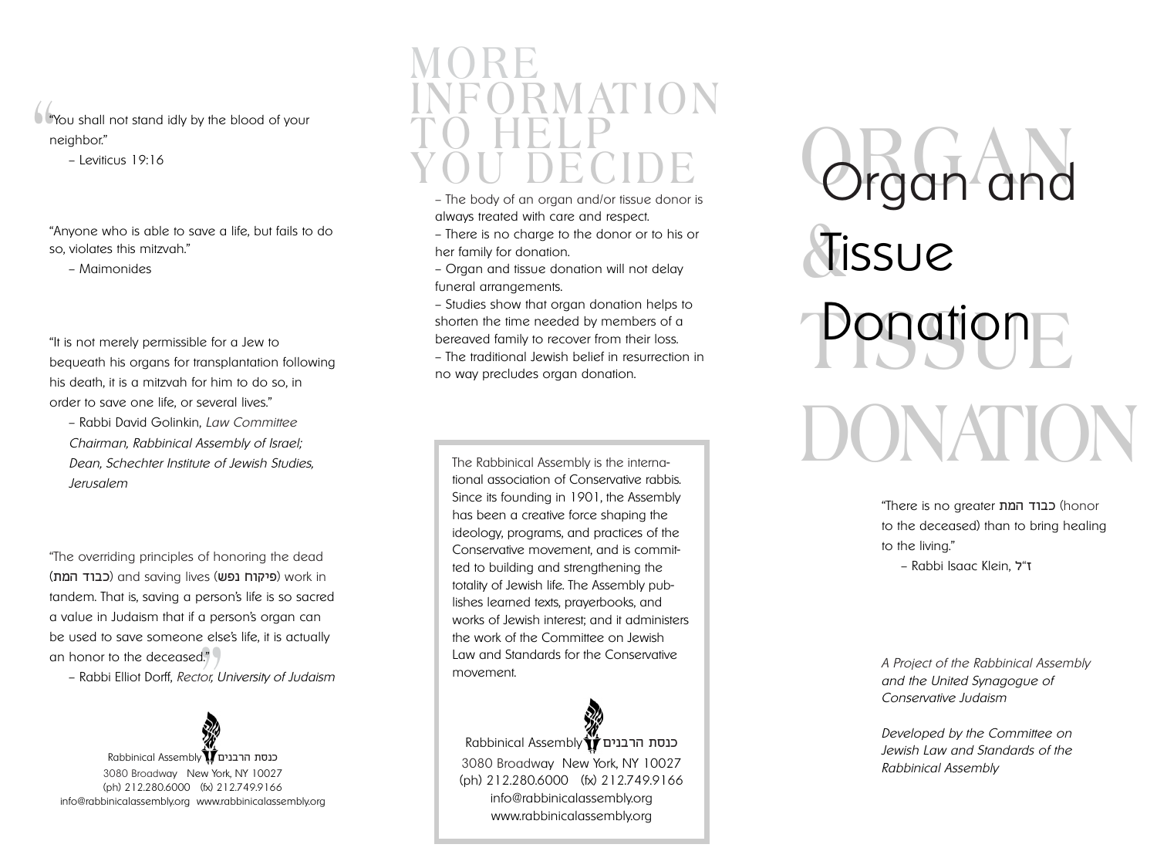**"** "You shall not stand idly by the blood of your neighbor."

– Leviticus 19:16

"Anyone who is able to save a life, but fails to do so, violates this mitzvah."

– Maimonides

"It is not merely permissible for a Jew to bequeath his organs for transplantation following his death, it is a mitzvah for him to do so, in order to save one life, or several lives."

– Rabbi David Golinkin, *Law Committee Chairman, Rabbinical Assembly of Israel; Dean, Schechter Institute of Jewish Studies, Jerusalem*

els<sub>i</sub><br>|," )<br>|<br>|<br>| "The overriding principles of honoring the dead ( פיקוח נפש) and saving lives (פיקוח נפש) work in tandem. That is, saving a person's life is so sacred a value in Judaism that if a person's organ can be used to save someone else's life, it is actually an honor to the deceased."

– Rabbi Elliot Dorff, *Rector, University of Judaism*



#### **MORE INFORMATION TO HELP YOU DECIDE**

- The body of an organ and/or tissue donor is always treated with care and respect.
- There is no charge to the donor or to his or her family for donation.
- Organ and tissue donation will not delay funeral arrangements.
- Studies show that organ donation helps to shorten the time needed by members of a bereaved family to recover from their loss.
- The traditional Jewish belief in resurrection in no way precludes organ donation.

The Rabbinical Assembly is the international association of Conservative rabbis. Since its founding in 1901, the Assembly has been a creative force shaping the ideology, programs, and practices of the Conservative movement, and is committed to building and strengthening the totality of Jewish life. The Assembly publishes learned texts, prayerbooks, and works of Jewish interest; and it administers the work of the Committee on Jewish Law and Standards for the Conservative movement.

Rabbinical Assembly 3080 Broadway New York, NY 10027 (ph) 212.280.6000 (fx) 212.749.9166 info@rabbinicalassembly.org www.rabbinicalassembly.org

**ORGAN** Organ and  $\frac{1}{\sqrt{2}}$ **Ponation** DONATIC<sup></sup> Tissue

> "There is no greater בבוד המת to the deceased) than to bring healing to the living." – Rabbi Isaac Klein, "

*A Project of the Rabbinical Assembly and the United Synagogue of Conservative Judaism*

*Developed by the Committee on Jewish Law and Standards of the Rabbinical Assembly*